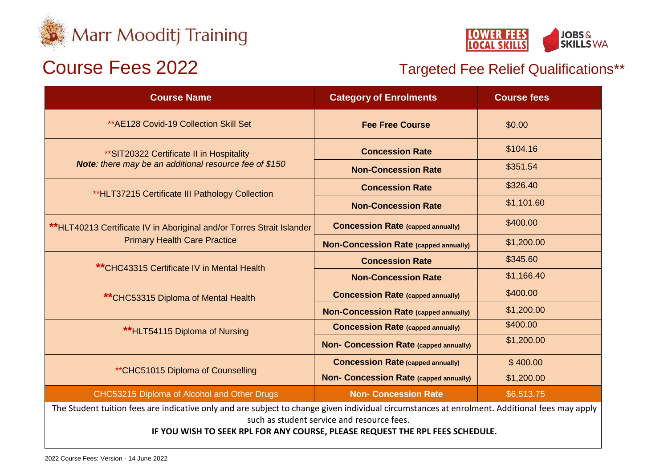



# Course Fees 2022 Targeted Fee Relief Qualifications\*\*

| <b>Course Name</b>                                                                                                                                                                          | <b>Category of Enrolments</b>                 | <b>Course fees</b> |
|---------------------------------------------------------------------------------------------------------------------------------------------------------------------------------------------|-----------------------------------------------|--------------------|
| ** AE128 Covid-19 Collection Skill Set                                                                                                                                                      | <b>Fee Free Course</b>                        | \$0.00             |
| ** SIT20322 Certificate II in Hospitality<br>Note: there may be an additional resource fee of \$150                                                                                         | <b>Concession Rate</b>                        | \$104.16           |
|                                                                                                                                                                                             | <b>Non-Concession Rate</b>                    | \$351.54           |
| **HLT37215 Certificate III Pathology Collection                                                                                                                                             | <b>Concession Rate</b>                        | \$326.40           |
|                                                                                                                                                                                             | <b>Non-Concession Rate</b>                    | \$1,101.60         |
| **HLT40213 Certificate IV in Aboriginal and/or Torres Strait Islander<br><b>Primary Health Care Practice</b>                                                                                | <b>Concession Rate (capped annually)</b>      | \$400.00           |
|                                                                                                                                                                                             | <b>Non-Concession Rate (capped annually)</b>  | \$1,200.00         |
| ** CHC43315 Certificate IV in Mental Health                                                                                                                                                 | <b>Concession Rate</b>                        | \$345.60           |
|                                                                                                                                                                                             | <b>Non-Concession Rate</b>                    | \$1,166.40         |
| **CHC53315 Diploma of Mental Health                                                                                                                                                         | <b>Concession Rate (capped annually)</b>      | \$400.00           |
|                                                                                                                                                                                             | <b>Non-Concession Rate (capped annually)</b>  | \$1,200.00         |
| **HLT54115 Diploma of Nursing                                                                                                                                                               | <b>Concession Rate (capped annually)</b>      | \$400.00           |
|                                                                                                                                                                                             | <b>Non- Concession Rate (capped annually)</b> | \$1,200.00         |
| ** CHC51015 Diploma of Counselling                                                                                                                                                          | <b>Concession Rate (capped annually)</b>      | \$400.00           |
|                                                                                                                                                                                             | <b>Non- Concession Rate (capped annually)</b> | \$1,200.00         |
| CHC53215 Diploma of Alcohol and Other Drugs                                                                                                                                                 | <b>Non- Concession Rate</b>                   | \$6,513.75         |
| The Student tuition fees are indicative only and are subject to change given individual circumstances at enrolment. Additional fees may apply<br>such as student service and resource fees. |                                               |                    |

**IF YOU WISH TO SEEK RPL FOR ANY COURSE, PLEASE REQUEST THE RPL FEES SCHEDULE.**